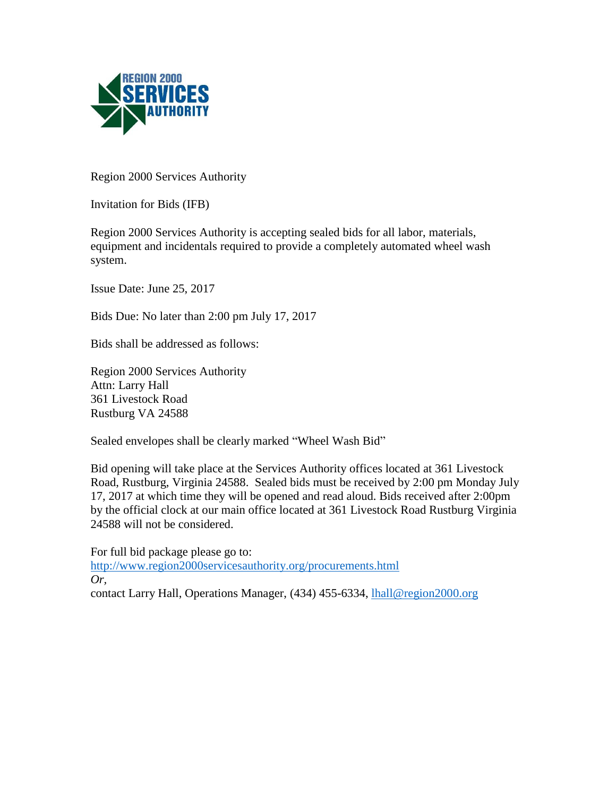

Region 2000 Services Authority

Invitation for Bids (IFB)

Region 2000 Services Authority is accepting sealed bids for all labor, materials, equipment and incidentals required to provide a completely automated wheel wash system.

Issue Date: June 25, 2017

Bids Due: No later than 2:00 pm July 17, 2017

Bids shall be addressed as follows:

Region 2000 Services Authority Attn: Larry Hall 361 Livestock Road Rustburg VA 24588

Sealed envelopes shall be clearly marked "Wheel Wash Bid"

Bid opening will take place at the Services Authority offices located at 361 Livestock Road, Rustburg, Virginia 24588. Sealed bids must be received by 2:00 pm Monday July 17, 2017 at which time they will be opened and read aloud. Bids received after 2:00pm by the official clock at our main office located at 361 Livestock Road Rustburg Virginia 24588 will not be considered.

For full bid package please go to: <http://www.region2000servicesauthority.org/procurements.html> *Or,* contact Larry Hall, Operations Manager, (434) 455-6334, *hall@region2000.org*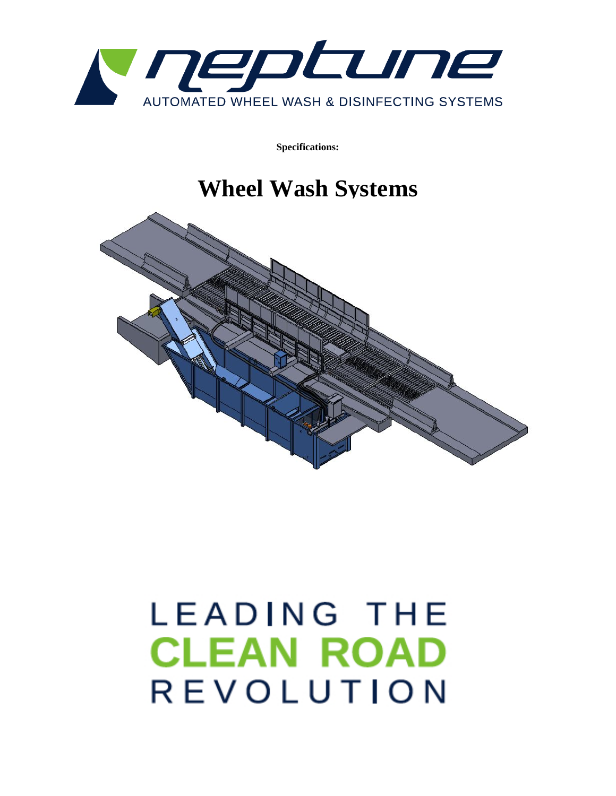

**Specifications:** 

# **Wheel Wash Systems**



# LEADING THE **CLEAN ROAD** REVOLUTION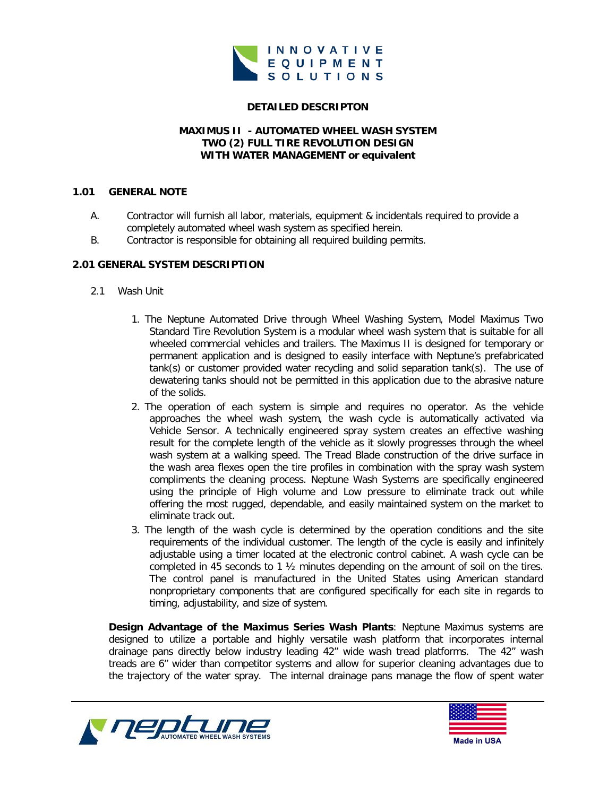

# **DETAILED DESCRIPTON**

## **MAXIMUS II - AUTOMATED WHEEL WASH SYSTEM TWO (2) FULL TIRE REVOLUTION DESIGN WITH WATER MANAGEMENT or equivalent**

#### **1.01 GENERAL NOTE**

- A. Contractor will furnish all labor, materials, equipment & incidentals required to provide a completely automated wheel wash system as specified herein.
- B. Contractor is responsible for obtaining all required building permits.

# **2.01 GENERAL SYSTEM DESCRIPTION**

- 2.1 Wash Unit
	- 1. The Neptune Automated Drive through Wheel Washing System, Model Maximus Two Standard Tire Revolution System is a modular wheel wash system that is suitable for all wheeled commercial vehicles and trailers. The Maximus II is designed for temporary or permanent application and is designed to easily interface with Neptune's prefabricated tank(s) or customer provided water recycling and solid separation tank(s). The use of dewatering tanks should not be permitted in this application due to the abrasive nature of the solids.
	- 2. The operation of each system is simple and requires no operator. As the vehicle approaches the wheel wash system, the wash cycle is automatically activated via Vehicle Sensor. A technically engineered spray system creates an effective washing result for the complete length of the vehicle as it slowly progresses through the wheel wash system at a walking speed. The Tread Blade construction of the drive surface in the wash area flexes open the tire profiles in combination with the spray wash system compliments the cleaning process. Neptune Wash Systems are specifically engineered using the principle of High volume and Low pressure to eliminate track out while offering the most rugged, dependable, and easily maintained system on the market to eliminate track out.
	- 3. The length of the wash cycle is determined by the operation conditions and the site requirements of the individual customer. The length of the cycle is easily and infinitely adjustable using a timer located at the electronic control cabinet. A wash cycle can be completed in 45 seconds to 1 ½ minutes depending on the amount of soil on the tires. The control panel is manufactured in the United States using American standard nonproprietary components that are configured specifically for each site in regards to timing, adjustability, and size of system.

**Design Advantage of the Maximus Series Wash Plants**: Neptune Maximus systems are designed to utilize a portable and highly versatile wash platform that incorporates internal drainage pans directly below industry leading 42" wide wash tread platforms. The 42" wash treads are 6" wider than competitor systems and allow for superior cleaning advantages due to the trajectory of the water spray. The internal drainage pans manage the flow of spent water



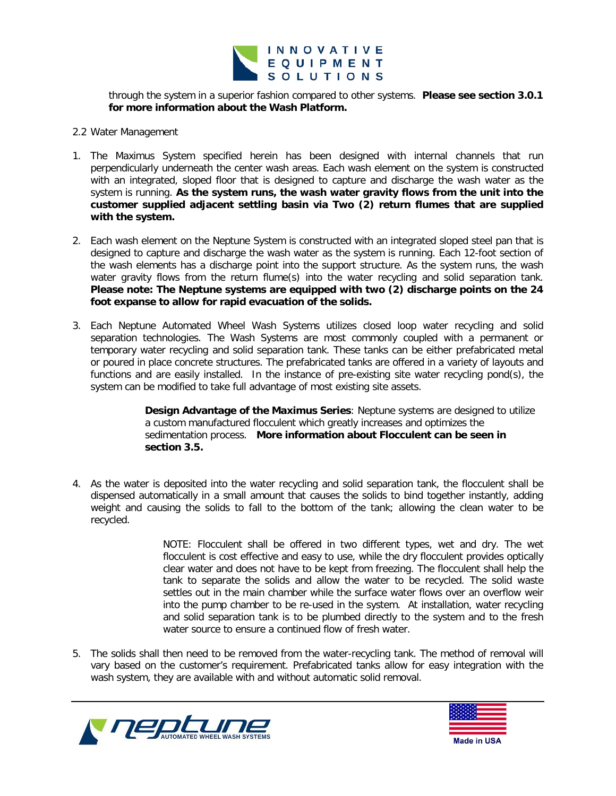

through the system in a superior fashion compared to other systems. **Please see section 3.0.1 for more information about the Wash Platform.**

#### 2.2 Water Management

- 1. The Maximus System specified herein has been designed with internal channels that run perpendicularly underneath the center wash areas. Each wash element on the system is constructed with an integrated, sloped floor that is designed to capture and discharge the wash water as the system is running. **As the system runs, the wash water gravity flows from the unit into the customer supplied adjacent settling basin via Two (2) return flumes that are supplied with the system.**
- 2. Each wash element on the Neptune System is constructed with an integrated sloped steel pan that is designed to capture and discharge the wash water as the system is running. Each 12-foot section of the wash elements has a discharge point into the support structure. As the system runs, the wash water gravity flows from the return flume(s) into the water recycling and solid separation tank. **Please note: The Neptune systems are equipped with two (2) discharge points on the 24 foot expanse to allow for rapid evacuation of the solids.**
- 3. Each Neptune Automated Wheel Wash Systems utilizes closed loop water recycling and solid separation technologies. The Wash Systems are most commonly coupled with a permanent or temporary water recycling and solid separation tank. These tanks can be either prefabricated metal or poured in place concrete structures. The prefabricated tanks are offered in a variety of layouts and functions and are easily installed. In the instance of pre-existing site water recycling pond(s), the system can be modified to take full advantage of most existing site assets.

**Design Advantage of the Maximus Series**: Neptune systems are designed to utilize a custom manufactured flocculent which greatly increases and optimizes the sedimentation process. **More information about Flocculent can be seen in section 3.5.**

4. As the water is deposited into the water recycling and solid separation tank, the flocculent shall be dispensed automatically in a small amount that causes the solids to bind together instantly, adding weight and causing the solids to fall to the bottom of the tank; allowing the clean water to be recycled.

> NOTE: Flocculent shall be offered in two different types, wet and dry. The wet flocculent is cost effective and easy to use, while the dry flocculent provides optically clear water and does not have to be kept from freezing. The flocculent shall help the tank to separate the solids and allow the water to be recycled. The solid waste settles out in the main chamber while the surface water flows over an overflow weir into the pump chamber to be re-used in the system. At installation, water recycling and solid separation tank is to be plumbed directly to the system and to the fresh water source to ensure a continued flow of fresh water.

5. The solids shall then need to be removed from the water-recycling tank. The method of removal will vary based on the customer's requirement. Prefabricated tanks allow for easy integration with the wash system, they are available with and without automatic solid removal.



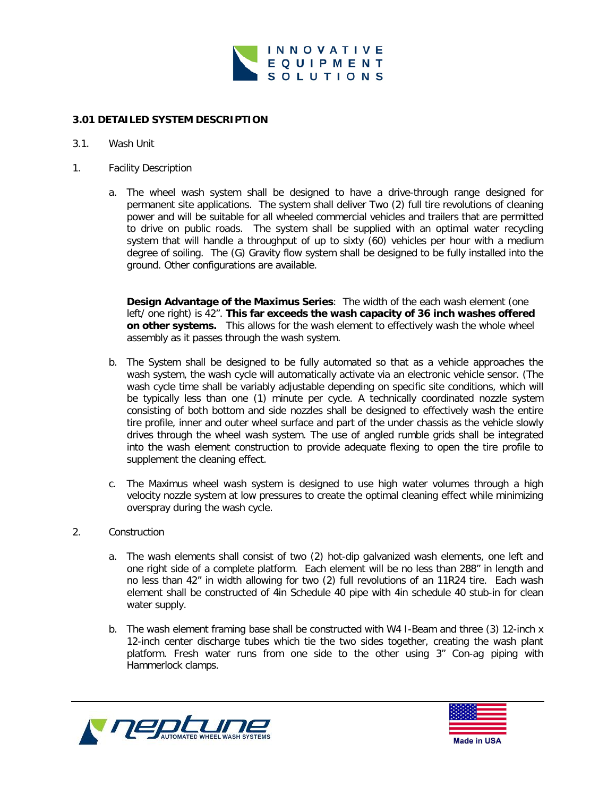

# **3.01 DETAILED SYSTEM DESCRIPTION**

#### 3.1. Wash Unit

- 1. Facility Description
	- a. The wheel wash system shall be designed to have a drive-through range designed for permanent site applications. The system shall deliver Two (2) full tire revolutions of cleaning power and will be suitable for all wheeled commercial vehicles and trailers that are permitted to drive on public roads. The system shall be supplied with an optimal water recycling system that will handle a throughput of up to sixty (60) vehicles per hour with a medium degree of soiling. The (G) Gravity flow system shall be designed to be fully installed into the ground. Other configurations are available.

**Design Advantage of the Maximus Series**: The width of the each wash element (one left/ one right) is 42". **This far exceeds the wash capacity of 36 inch washes offered on other systems.** This allows for the wash element to effectively wash the whole wheel assembly as it passes through the wash system.

- b. The System shall be designed to be fully automated so that as a vehicle approaches the wash system, the wash cycle will automatically activate via an electronic vehicle sensor. (The wash cycle time shall be variably adjustable depending on specific site conditions, which will be typically less than one (1) minute per cycle. A technically coordinated nozzle system consisting of both bottom and side nozzles shall be designed to effectively wash the entire tire profile, inner and outer wheel surface and part of the under chassis as the vehicle slowly drives through the wheel wash system. The use of angled rumble grids shall be integrated into the wash element construction to provide adequate flexing to open the tire profile to supplement the cleaning effect.
- c. The Maximus wheel wash system is designed to use high water volumes through a high velocity nozzle system at low pressures to create the optimal cleaning effect while minimizing overspray during the wash cycle.

# 2. Construction

- a. The wash elements shall consist of two (2) hot-dip galvanized wash elements, one left and one right side of a complete platform. Each element will be no less than 288" in length and no less than 42" in width allowing for two (2) full revolutions of an 11R24 tire. Each wash element shall be constructed of 4in Schedule 40 pipe with 4in schedule 40 stub-in for clean water supply.
- b. The wash element framing base shall be constructed with W4 I-Beam and three (3) 12-inch x 12-inch center discharge tubes which tie the two sides together, creating the wash plant platform. Fresh water runs from one side to the other using 3" Con-ag piping with Hammerlock clamps.



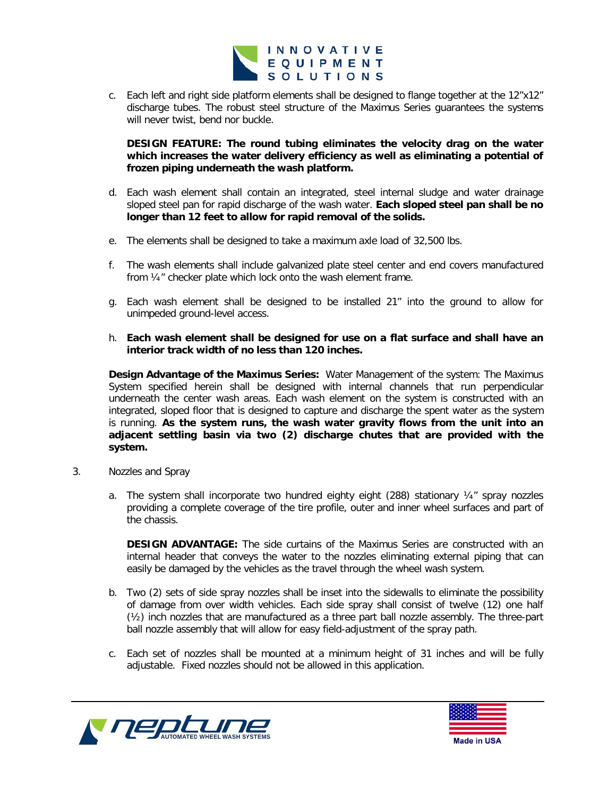

c. Each left and right side platform elements shall be designed to flange together at the 12"x12" discharge tubes. The robust steel structure of the Maximus Series guarantees the systems will never twist, bend nor buckle.

**DESIGN FEATURE: The round tubing eliminates the velocity drag on the water which increases the water delivery efficiency as well as eliminating a potential of frozen piping underneath the wash platform.** 

- d. Each wash element shall contain an integrated, steel internal sludge and water drainage sloped steel pan for rapid discharge of the wash water. **Each sloped steel pan shall be no longer than 12 feet to allow for rapid removal of the solids.**
- e. The elements shall be designed to take a maximum axle load of 32,500 lbs.
- f. The wash elements shall include galvanized plate steel center and end covers manufactured from ¼" checker plate which lock onto the wash element frame.
- g. Each wash element shall be designed to be installed 21" into the ground to allow for unimpeded ground-level access.
- h. **Each wash element shall be designed for use on a flat surface and shall have an interior track width of no less than 120 inches.**

**Design Advantage of the Maximus Series:** Water Management of the system: The Maximus System specified herein shall be designed with internal channels that run perpendicular underneath the center wash areas. Each wash element on the system is constructed with an integrated, sloped floor that is designed to capture and discharge the spent water as the system is running. **As the system runs, the wash water gravity flows from the unit into an adjacent settling basin via two (2) discharge chutes that are provided with the system.**

- 3. Nozzles and Spray
	- a. The system shall incorporate two hundred eighty eight (288) stationary  $\frac{1}{4}$  spray nozzles providing a complete coverage of the tire profile, outer and inner wheel surfaces and part of the chassis.

**DESIGN ADVANTAGE:** The side curtains of the Maximus Series are constructed with an internal header that conveys the water to the nozzles eliminating external piping that can easily be damaged by the vehicles as the travel through the wheel wash system.

- b. Two (2) sets of side spray nozzles shall be inset into the sidewalls to eliminate the possibility of damage from over width vehicles. Each side spray shall consist of twelve (12) one half (½) inch nozzles that are manufactured as a three part ball nozzle assembly. The three-part ball nozzle assembly that will allow for easy field-adjustment of the spray path.
- c. Each set of nozzles shall be mounted at a minimum height of 31 inches and will be fully adjustable. Fixed nozzles should not be allowed in this application.



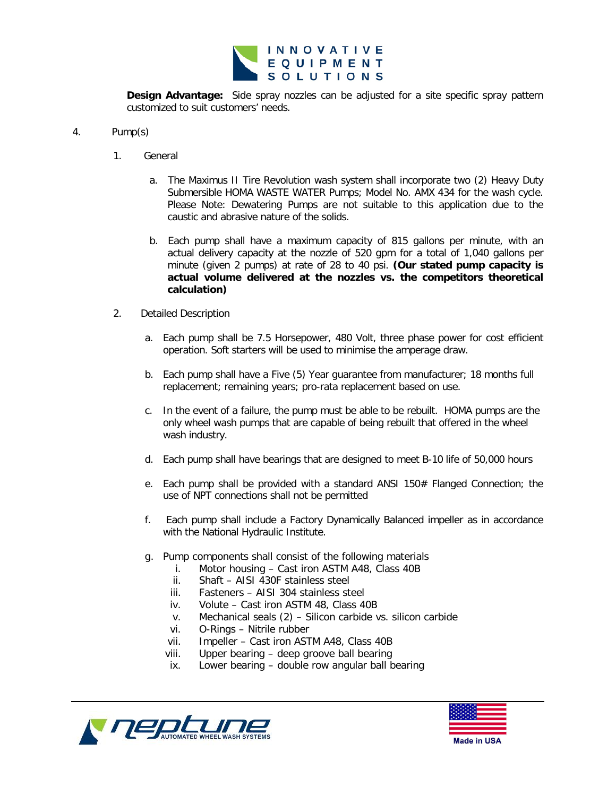

**Design Advantage:** Side spray nozzles can be adjusted for a site specific spray pattern customized to suit customers' needs.

#### 4. Pump(s)

- 1. General
	- a. The Maximus II Tire Revolution wash system shall incorporate two (2) Heavy Duty Submersible HOMA WASTE WATER Pumps; Model No. AMX 434 for the wash cycle. Please Note: Dewatering Pumps are not suitable to this application due to the caustic and abrasive nature of the solids.
	- b. Each pump shall have a maximum capacity of 815 gallons per minute, with an actual delivery capacity at the nozzle of 520 gpm for a total of 1,040 gallons per minute (given 2 pumps) at rate of 28 to 40 psi. **(Our stated pump capacity is actual volume delivered at the nozzles vs. the competitors theoretical calculation)**
- 2. Detailed Description
	- a. Each pump shall be 7.5 Horsepower, 480 Volt, three phase power for cost efficient operation. Soft starters will be used to minimise the amperage draw.
	- b. Each pump shall have a Five (5) Year guarantee from manufacturer; 18 months full replacement; remaining years; pro-rata replacement based on use.
	- c. In the event of a failure, the pump must be able to be rebuilt. HOMA pumps are the only wheel wash pumps that are capable of being rebuilt that offered in the wheel wash industry.
	- d. Each pump shall have bearings that are designed to meet B-10 life of 50,000 hours
	- e. Each pump shall be provided with a standard ANSI 150 $#$  Flanged Connection; the use of NPT connections shall not be permitted
	- f. Each pump shall include a Factory Dynamically Balanced impeller as in accordance with the National Hydraulic Institute.
	- g. Pump components shall consist of the following materials
		- i. Motor housing Cast iron ASTM A48, Class 40B
		- ii. Shaft AISI 430F stainless steel
		- iii. Fasteners AISI 304 stainless steel
		- iv. Volute Cast iron ASTM 48, Class 40B
		- v. Mechanical seals (2) Silicon carbide vs. silicon carbide
		- vi. O-Rings Nitrile rubber<br>vii. Impeller Cast iron AST
		- Impeller Cast iron ASTM A48, Class 40B
		- viii. Upper bearing deep groove ball bearing
		- ix. Lower bearing double row angular ball bearing



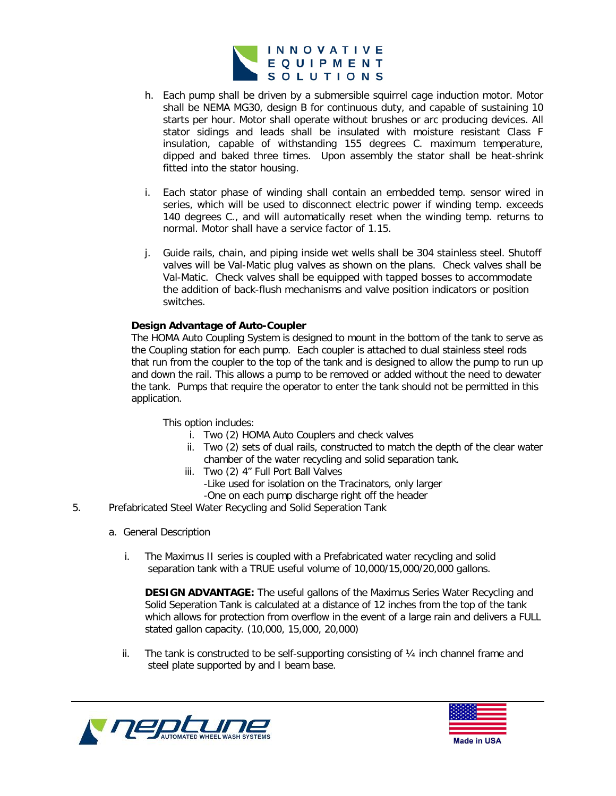

- h. Each pump shall be driven by a submersible squirrel cage induction motor. Motor shall be NEMA MG30, design B for continuous duty, and capable of sustaining 10 starts per hour. Motor shall operate without brushes or arc producing devices. All stator sidings and leads shall be insulated with moisture resistant Class F insulation, capable of withstanding 155 degrees C. maximum temperature, dipped and baked three times. Upon assembly the stator shall be heat-shrink fitted into the stator housing.
- i. Each stator phase of winding shall contain an embedded temp. sensor wired in series, which will be used to disconnect electric power if winding temp. exceeds 140 degrees C., and will automatically reset when the winding temp. returns to normal. Motor shall have a service factor of 1.15.
- j. Guide rails, chain, and piping inside wet wells shall be 304 stainless steel. Shutoff valves will be Val-Matic plug valves as shown on the plans. Check valves shall be Val-Matic. Check valves shall be equipped with tapped bosses to accommodate the addition of back-flush mechanisms and valve position indicators or position switches.

# **Design Advantage of Auto-Coupler**

The HOMA Auto Coupling System is designed to mount in the bottom of the tank to serve as the Coupling station for each pump. Each coupler is attached to dual stainless steel rods that run from the coupler to the top of the tank and is designed to allow the pump to run up and down the rail. This allows a pump to be removed or added without the need to dewater the tank. Pumps that require the operator to enter the tank should not be permitted in this application.

This option includes:

- i. Two (2) HOMA Auto Couplers and check valves
- ii. Two (2) sets of dual rails, constructed to match the depth of the clear water chamber of the water recycling and solid separation tank.
- iii. Two (2) 4" Full Port Ball Valves
	- -Like used for isolation on the Tracinators, only larger
	- -One on each pump discharge right off the header
- 5. Prefabricated Steel Water Recycling and Solid Seperation Tank
	- a. General Description
		- i. The Maximus II series is coupled with a Prefabricated water recycling and solid separation tank with a TRUE useful volume of 10,000/15,000/20,000 gallons.

**DESIGN ADVANTAGE:** The useful gallons of the Maximus Series Water Recycling and Solid Seperation Tank is calculated at a distance of 12 inches from the top of the tank which allows for protection from overflow in the event of a large rain and delivers a FULL stated gallon capacity. (10,000, 15,000, 20,000)

ii. The tank is constructed to be self-supporting consisting of  $\frac{1}{4}$  inch channel frame and steel plate supported by and I beam base.



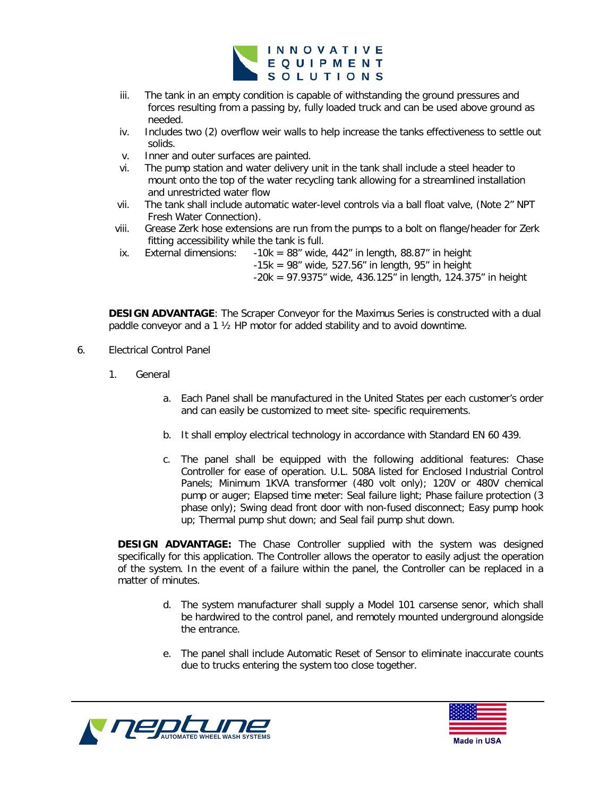

- iii. The tank in an empty condition is capable of withstanding the ground pressures and forces resulting from a passing by, fully loaded truck and can be used above ground as needed.
- iv. Includes two (2) overflow weir walls to help increase the tanks effectiveness to settle out solids.
- v. Inner and outer surfaces are painted.
- vi. The pump station and water delivery unit in the tank shall include a steel header to mount onto the top of the water recycling tank allowing for a streamlined installation and unrestricted water flow
- vii. The tank shall include automatic water-level controls via a ball float valve, (Note 2" NPT Fresh Water Connection).
- viii. Grease Zerk hose extensions are run from the pumps to a bolt on flange/header for Zerk fitting accessibility while the tank is full.<br>External dimensions:  $-10k = 88<sup>n</sup>$  wide
- ix. External dimensions:  $-10k = 88$ " wide, 442" in length, 88.87" in height  $-15k = 98$ " wide, 527.56" in length, 95" in height
	- $-20k = 97.9375$ " wide, 436.125" in length, 124.375" in height

**DESIGN ADVANTAGE**: The Scraper Conveyor for the Maximus Series is constructed with a dual paddle conveyor and a 1 ½ HP motor for added stability and to avoid downtime.

- 6. Electrical Control Panel
	- 1. General
		- a. Each Panel shall be manufactured in the United States per each customer's order and can easily be customized to meet site- specific requirements.
		- b. It shall employ electrical technology in accordance with Standard EN 60 439.
		- c. The panel shall be equipped with the following additional features: Chase Controller for ease of operation. U.L. 508A listed for Enclosed Industrial Control Panels; Minimum 1KVA transformer (480 volt only); 120V or 480V chemical pump or auger; Elapsed time meter: Seal failure light; Phase failure protection (3 phase only); Swing dead front door with non-fused disconnect; Easy pump hook up; Thermal pump shut down; and Seal fail pump shut down.

**DESIGN ADVANTAGE:** The Chase Controller supplied with the system was designed specifically for this application. The Controller allows the operator to easily adjust the operation of the system. In the event of a failure within the panel, the Controller can be replaced in a matter of minutes.

- d. The system manufacturer shall supply a Model 101 carsense senor, which shall be hardwired to the control panel, and remotely mounted underground alongside the entrance.
- e. The panel shall include Automatic Reset of Sensor to eliminate inaccurate counts due to trucks entering the system too close together.



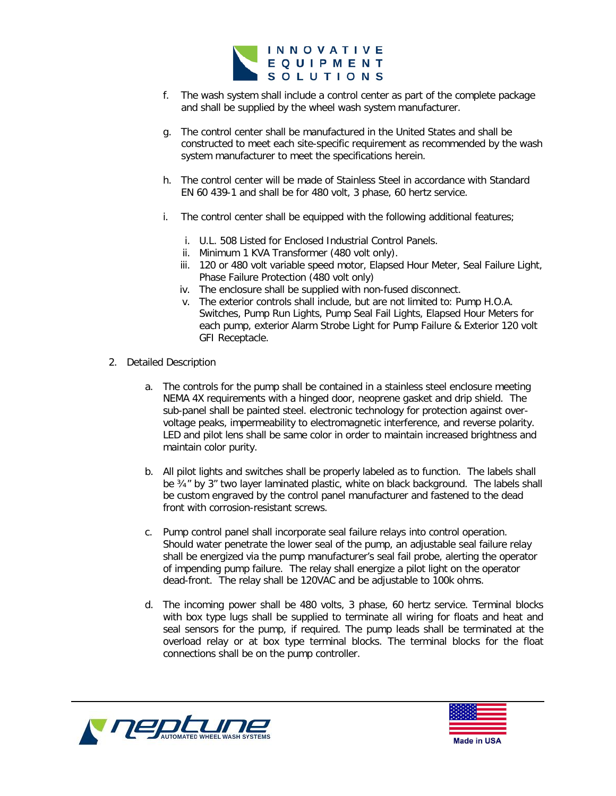

- f. The wash system shall include a control center as part of the complete package and shall be supplied by the wheel wash system manufacturer.
- g. The control center shall be manufactured in the United States and shall be constructed to meet each site-specific requirement as recommended by the wash system manufacturer to meet the specifications herein.
- h. The control center will be made of Stainless Steel in accordance with Standard EN 60 439-1 and shall be for 480 volt, 3 phase, 60 hertz service.
- i. The control center shall be equipped with the following additional features;
	- i. U.L. 508 Listed for Enclosed Industrial Control Panels.
	- ii. Minimum 1 KVA Transformer (480 volt only).
	- iii. 120 or 480 volt variable speed motor, Elapsed Hour Meter, Seal Failure Light, Phase Failure Protection (480 volt only)
	- iv. The enclosure shall be supplied with non-fused disconnect.
	- v. The exterior controls shall include, but are not limited to: Pump H.O.A. Switches, Pump Run Lights, Pump Seal Fail Lights, Elapsed Hour Meters for each pump, exterior Alarm Strobe Light for Pump Failure & Exterior 120 volt GFI Receptacle.
- 2. Detailed Description
	- a. The controls for the pump shall be contained in a stainless steel enclosure meeting NEMA 4X requirements with a hinged door, neoprene gasket and drip shield. The sub-panel shall be painted steel. electronic technology for protection against overvoltage peaks, impermeability to electromagnetic interference, and reverse polarity. LED and pilot lens shall be same color in order to maintain increased brightness and maintain color purity.
	- b. All pilot lights and switches shall be properly labeled as to function. The labels shall be ¾" by 3" two layer laminated plastic, white on black background. The labels shall be custom engraved by the control panel manufacturer and fastened to the dead front with corrosion-resistant screws.
	- c. Pump control panel shall incorporate seal failure relays into control operation. Should water penetrate the lower seal of the pump, an adjustable seal failure relay shall be energized via the pump manufacturer's seal fail probe, alerting the operator of impending pump failure. The relay shall energize a pilot light on the operator dead-front. The relay shall be 120VAC and be adjustable to 100k ohms.
	- d. The incoming power shall be 480 volts, 3 phase, 60 hertz service. Terminal blocks with box type lugs shall be supplied to terminate all wiring for floats and heat and seal sensors for the pump, if required. The pump leads shall be terminated at the overload relay or at box type terminal blocks. The terminal blocks for the float connections shall be on the pump controller.



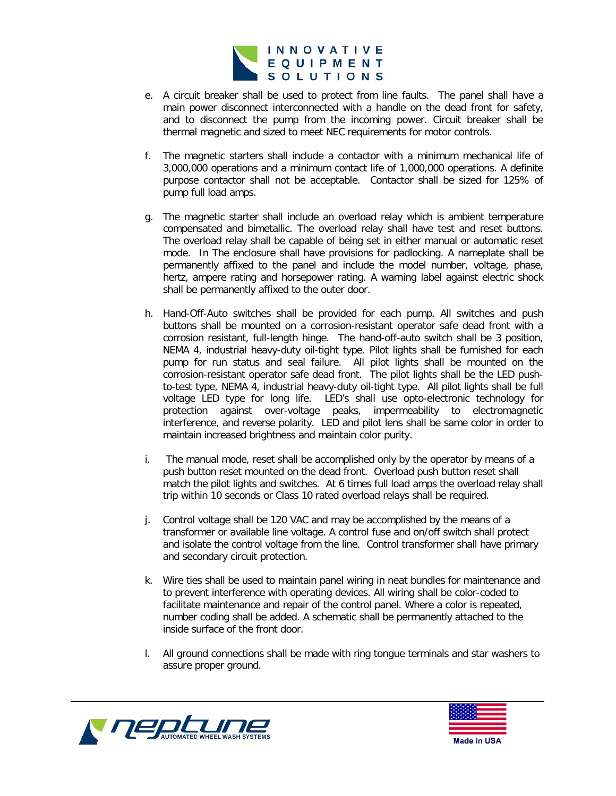

- e. A circuit breaker shall be used to protect from line faults. The panel shall have a main power disconnect interconnected with a handle on the dead front for safety, and to disconnect the pump from the incoming power. Circuit breaker shall be thermal magnetic and sized to meet NEC requirements for motor controls.
- f. The magnetic starters shall include a contactor with a minimum mechanical life of 3,000,000 operations and a minimum contact life of 1,000,000 operations. A definite purpose contactor shall not be acceptable. Contactor shall be sized for 125% of pump full load amps.
- g. The magnetic starter shall include an overload relay which is ambient temperature compensated and bimetallic. The overload relay shall have test and reset buttons. The overload relay shall be capable of being set in either manual or automatic reset mode. In The enclosure shall have provisions for padlocking. A nameplate shall be permanently affixed to the panel and include the model number, voltage, phase, hertz, ampere rating and horsepower rating. A warning label against electric shock shall be permanently affixed to the outer door.
- h. Hand-Off-Auto switches shall be provided for each pump. All switches and push buttons shall be mounted on a corrosion-resistant operator safe dead front with a corrosion resistant, full-length hinge. The hand-off-auto switch shall be 3 position, NEMA 4, industrial heavy-duty oil-tight type. Pilot lights shall be furnished for each pump for run status and seal failure. All pilot lights shall be mounted on the corrosion-resistant operator safe dead front. The pilot lights shall be the LED pushto-test type, NEMA 4, industrial heavy-duty oil-tight type. All pilot lights shall be full voltage LED type for long life. LED's shall use opto-electronic technology for protection against over-voltage peaks, impermeability to electromagnetic interference, and reverse polarity. LED and pilot lens shall be same color in order to maintain increased brightness and maintain color purity.
- i. The manual mode, reset shall be accomplished only by the operator by means of a push button reset mounted on the dead front. Overload push button reset shall match the pilot lights and switches. At 6 times full load amps the overload relay shall trip within 10 seconds or Class 10 rated overload relays shall be required.
- j. Control voltage shall be 120 VAC and may be accomplished by the means of a transformer or available line voltage. A control fuse and on/off switch shall protect and isolate the control voltage from the line. Control transformer shall have primary and secondary circuit protection.
- k. Wire ties shall be used to maintain panel wiring in neat bundles for maintenance and to prevent interference with operating devices. All wiring shall be color-coded to facilitate maintenance and repair of the control panel. Where a color is repeated, number coding shall be added. A schematic shall be permanently attached to the inside surface of the front door.
- l. All ground connections shall be made with ring tongue terminals and star washers to assure proper ground.



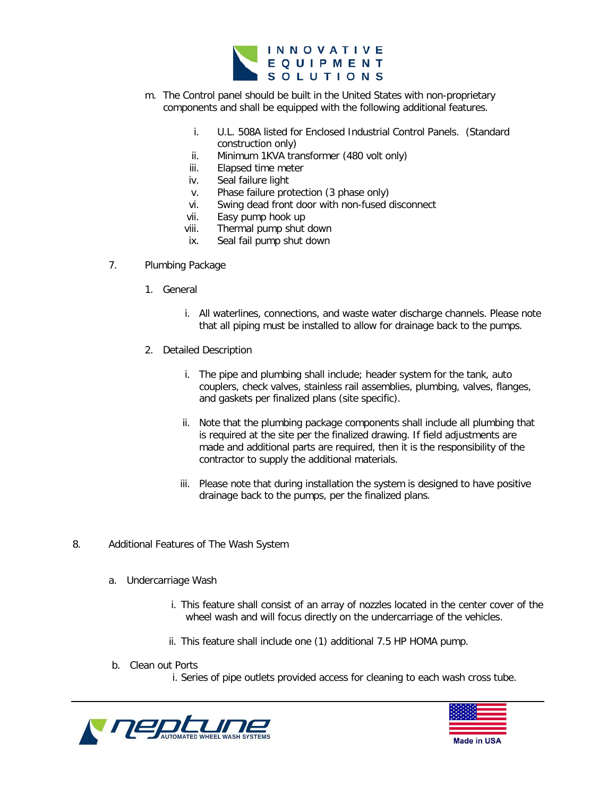

- m. The Control panel should be built in the United States with non-proprietary components and shall be equipped with the following additional features.
	- i. U.L. 508A listed for Enclosed Industrial Control Panels. (Standard construction only)
	- ii. Minimum 1KVA transformer (480 volt only)
	- iii. Elapsed time meter
	- iv. Seal failure light
	- v. Phase failure protection (3 phase only)
	- vi. Swing dead front door with non-fused disconnect
	- vii. Easy pump hook up<br>viii. Thermal pump shut
	- Thermal pump shut down
	- ix. Seal fail pump shut down
- 7. Plumbing Package
	- 1. General
		- i. All waterlines, connections, and waste water discharge channels. Please note that all piping must be installed to allow for drainage back to the pumps.
	- 2. Detailed Description
		- i. The pipe and plumbing shall include; header system for the tank, auto couplers, check valves, stainless rail assemblies, plumbing, valves, flanges, and gaskets per finalized plans (site specific).
		- ii. Note that the plumbing package components shall include all plumbing that is required at the site per the finalized drawing. If field adjustments are made and additional parts are required, then it is the responsibility of the contractor to supply the additional materials.
		- iii. Please note that during installation the system is designed to have positive drainage back to the pumps, per the finalized plans.
- 8. Additional Features of The Wash System
	- a. Undercarriage Wash
		- i. This feature shall consist of an array of nozzles located in the center cover of the wheel wash and will focus directly on the undercarriage of the vehicles.
		- ii. This feature shall include one (1) additional 7.5 HP HOMA pump.
	- b. Clean out Ports
		- i. Series of pipe outlets provided access for cleaning to each wash cross tube.



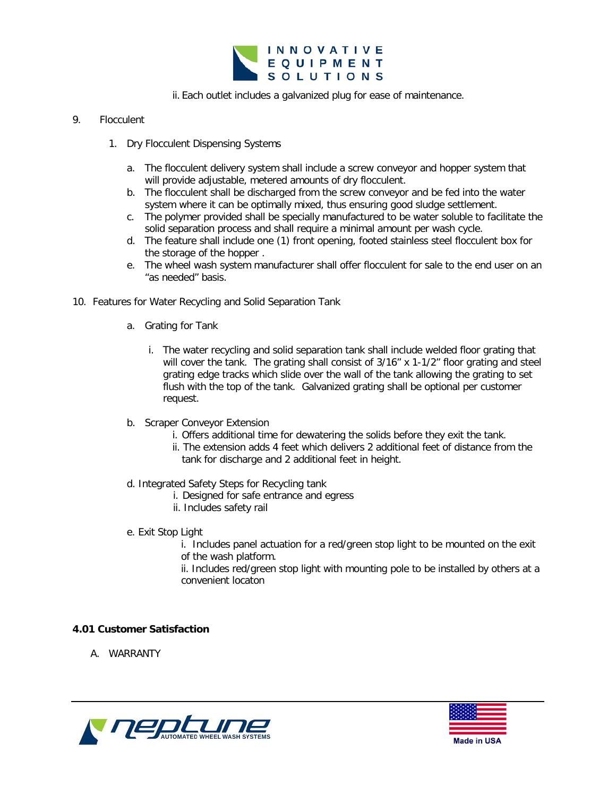

ii. Each outlet includes a galvanized plug for ease of maintenance.

# 9. Flocculent

- 1. Dry Flocculent Dispensing Systems
	- a. The flocculent delivery system shall include a screw conveyor and hopper system that will provide adjustable, metered amounts of dry flocculent.
	- b. The flocculent shall be discharged from the screw conveyor and be fed into the water system where it can be optimally mixed, thus ensuring good sludge settlement.
	- c. The polymer provided shall be specially manufactured to be water soluble to facilitate the solid separation process and shall require a minimal amount per wash cycle.
	- d. The feature shall include one (1) front opening, footed stainless steel flocculent box for the storage of the hopper .
	- e. The wheel wash system manufacturer shall offer flocculent for sale to the end user on an "as needed" basis.
- 10. Features for Water Recycling and Solid Separation Tank
	- a. Grating for Tank
		- i. The water recycling and solid separation tank shall include welded floor grating that will cover the tank. The grating shall consist of 3/16" x 1-1/2" floor grating and steel grating edge tracks which slide over the wall of the tank allowing the grating to set flush with the top of the tank. Galvanized grating shall be optional per customer request.
	- b. Scraper Conveyor Extension
		- i. Offers additional time for dewatering the solids before they exit the tank.
		- ii. The extension adds 4 feet which delivers 2 additional feet of distance from the tank for discharge and 2 additional feet in height.
	- d. Integrated Safety Steps for Recycling tank
		- i. Designed for safe entrance and egress
		- ii. Includes safety rail
	- e. Exit Stop Light

i. Includes panel actuation for a red/green stop light to be mounted on the exit of the wash platform.

ii. Includes red/green stop light with mounting pole to be installed by others at a convenient locaton

# **4.01 Customer Satisfaction**

A. WARRANTY